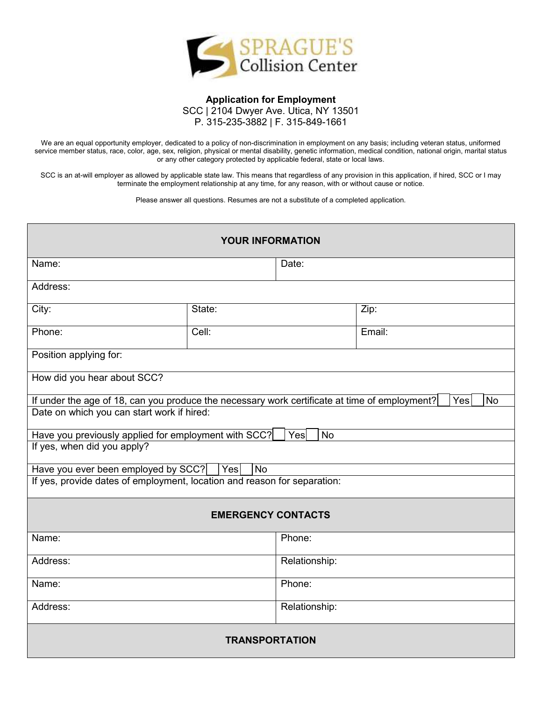

## **Application for Employment**  SCC | 2104 Dwyer Ave. Utica, NY 13501 P. 315-235-3882 | F. 315-849-1661

We are an equal opportunity employer, dedicated to a policy of non-discrimination in employment on any basis; including veteran status, uniformed service member status, race, color, age, sex, religion, physical or mental disability, genetic information, medical condition, national origin, marital status or any other category protected by applicable federal, state or local laws.

SCC is an at-will employer as allowed by applicable state law. This means that regardless of any provision in this application, if hired, SCC or I may terminate the employment relationship at any time, for any reason, with or without cause or notice.

Please answer all questions. Resumes are not a substitute of a completed application.

| <b>YOUR INFORMATION</b>                                                                       |        |                       |                  |  |
|-----------------------------------------------------------------------------------------------|--------|-----------------------|------------------|--|
| Name:                                                                                         |        | Date:                 |                  |  |
| Address:                                                                                      |        |                       |                  |  |
| City:                                                                                         | State: |                       | Zip:             |  |
| Phone:                                                                                        | Cell:  |                       | Email:           |  |
| Position applying for:                                                                        |        |                       |                  |  |
| How did you hear about SCC?                                                                   |        |                       |                  |  |
| If under the age of 18, can you produce the necessary work certificate at time of employment? |        |                       | Yes<br><b>No</b> |  |
| Date on which you can start work if hired:                                                    |        |                       |                  |  |
| Have you previously applied for employment with SCC?                                          |        | $\overline{N}$<br>Yes |                  |  |
| If yes, when did you apply?                                                                   |        |                       |                  |  |
| No<br>Have you ever been employed by SCC?<br>Yes                                              |        |                       |                  |  |
| If yes, provide dates of employment, location and reason for separation:                      |        |                       |                  |  |
| <b>EMERGENCY CONTACTS</b>                                                                     |        |                       |                  |  |
| Name:                                                                                         |        | Phone:                |                  |  |
|                                                                                               |        |                       |                  |  |
| Address:                                                                                      |        | Relationship:         |                  |  |
| Name:                                                                                         |        | Phone:                |                  |  |
| Address:                                                                                      |        | Relationship:         |                  |  |
| <b>TRANSPORTATION</b>                                                                         |        |                       |                  |  |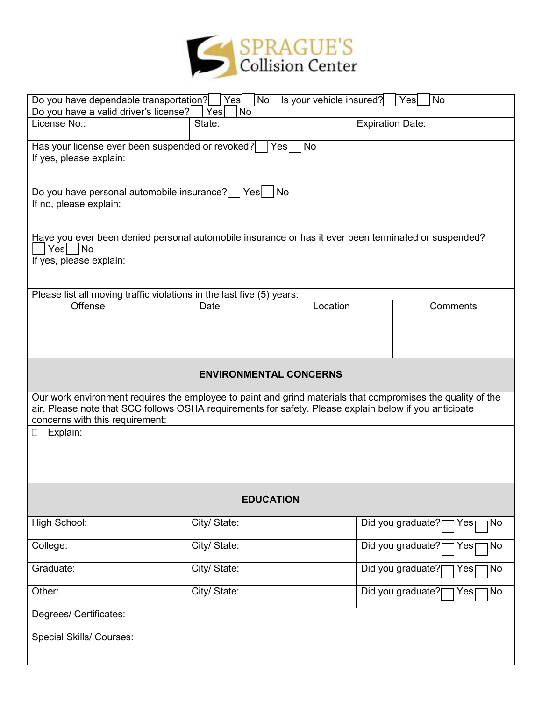

| Yes<br>No<br>Is your vehicle insured?<br>Do you have dependable transportation?<br><b>No</b><br>Yes                                                                                                                                                      |                                                                                                      |                  |                                 |  |
|----------------------------------------------------------------------------------------------------------------------------------------------------------------------------------------------------------------------------------------------------------|------------------------------------------------------------------------------------------------------|------------------|---------------------------------|--|
| Do you have a valid driver's license?                                                                                                                                                                                                                    | Yes<br><b>No</b>                                                                                     |                  |                                 |  |
| License No.:                                                                                                                                                                                                                                             | State:<br><b>Expiration Date:</b>                                                                    |                  |                                 |  |
| Has your license ever been suspended or revoked?                                                                                                                                                                                                         |                                                                                                      | <b>No</b><br>Yes |                                 |  |
| If yes, please explain:                                                                                                                                                                                                                                  |                                                                                                      |                  |                                 |  |
|                                                                                                                                                                                                                                                          |                                                                                                      |                  |                                 |  |
| Do you have personal automobile insurance?                                                                                                                                                                                                               | Yes                                                                                                  | <b>No</b>        |                                 |  |
| If no, please explain:                                                                                                                                                                                                                                   |                                                                                                      |                  |                                 |  |
| Yes<br><b>No</b>                                                                                                                                                                                                                                         | Have you ever been denied personal automobile insurance or has it ever been terminated or suspended? |                  |                                 |  |
| If yes, please explain:                                                                                                                                                                                                                                  |                                                                                                      |                  |                                 |  |
|                                                                                                                                                                                                                                                          |                                                                                                      |                  |                                 |  |
|                                                                                                                                                                                                                                                          | Please list all moving traffic violations in the last five (5) years:                                |                  |                                 |  |
| Offense                                                                                                                                                                                                                                                  | Date                                                                                                 | Location         | Comments                        |  |
|                                                                                                                                                                                                                                                          |                                                                                                      |                  |                                 |  |
|                                                                                                                                                                                                                                                          |                                                                                                      |                  |                                 |  |
| <b>ENVIRONMENTAL CONCERNS</b>                                                                                                                                                                                                                            |                                                                                                      |                  |                                 |  |
| Our work environment requires the employee to paint and grind materials that compromises the quality of the<br>air. Please note that SCC follows OSHA requirements for safety. Please explain below if you anticipate<br>concerns with this requirement: |                                                                                                      |                  |                                 |  |
| Explain:                                                                                                                                                                                                                                                 |                                                                                                      |                  |                                 |  |
|                                                                                                                                                                                                                                                          |                                                                                                      |                  |                                 |  |
| <b>EDUCATION</b>                                                                                                                                                                                                                                         |                                                                                                      |                  |                                 |  |
| High School:                                                                                                                                                                                                                                             | City/ State:                                                                                         |                  | Did you graduate?<br>No<br>Yes  |  |
| College:                                                                                                                                                                                                                                                 | City/ State:                                                                                         |                  | Did you graduate?<br>Yes∣<br>No |  |
| Graduate:                                                                                                                                                                                                                                                | City/ State:                                                                                         |                  | Did you graduate?<br>No<br>Yes  |  |
| Other:                                                                                                                                                                                                                                                   | City/ State:                                                                                         |                  | Did you graduate?<br>No<br>Yes  |  |
| Degrees/ Certificates:                                                                                                                                                                                                                                   |                                                                                                      |                  |                                 |  |
| Special Skills/ Courses:                                                                                                                                                                                                                                 |                                                                                                      |                  |                                 |  |
|                                                                                                                                                                                                                                                          |                                                                                                      |                  |                                 |  |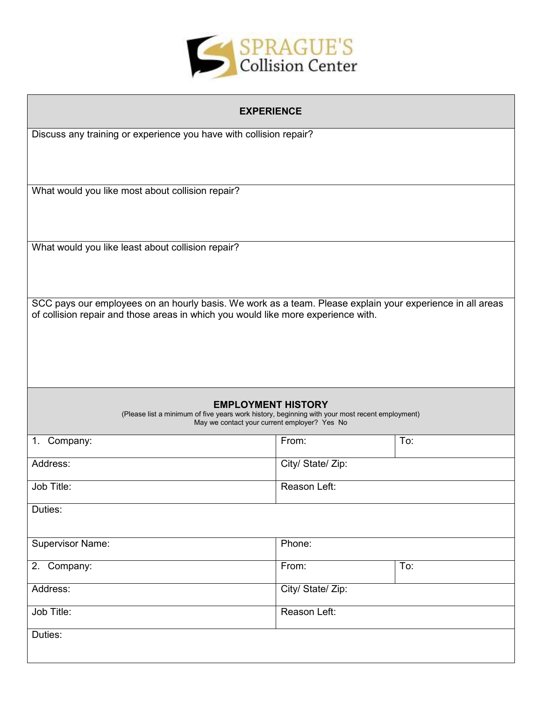

| <b>EXPERIENCE</b>                                                                                                                              |                   |     |  |
|------------------------------------------------------------------------------------------------------------------------------------------------|-------------------|-----|--|
| Discuss any training or experience you have with collision repair?                                                                             |                   |     |  |
|                                                                                                                                                |                   |     |  |
|                                                                                                                                                |                   |     |  |
| What would you like most about collision repair?                                                                                               |                   |     |  |
|                                                                                                                                                |                   |     |  |
|                                                                                                                                                |                   |     |  |
| What would you like least about collision repair?                                                                                              |                   |     |  |
|                                                                                                                                                |                   |     |  |
|                                                                                                                                                |                   |     |  |
| SCC pays our employees on an hourly basis. We work as a team. Please explain your experience in all areas                                      |                   |     |  |
| of collision repair and those areas in which you would like more experience with.                                                              |                   |     |  |
|                                                                                                                                                |                   |     |  |
|                                                                                                                                                |                   |     |  |
|                                                                                                                                                |                   |     |  |
| <b>EMPLOYMENT HISTORY</b>                                                                                                                      |                   |     |  |
| (Please list a minimum of five years work history, beginning with your most recent employment)<br>May we contact your current employer? Yes No |                   |     |  |
| 1. Company:                                                                                                                                    | From:             | To: |  |
|                                                                                                                                                |                   |     |  |
| Address:                                                                                                                                       | City/ State/ Zip: |     |  |
| Job Title:                                                                                                                                     | Reason Left:      |     |  |
| Duties:                                                                                                                                        |                   |     |  |
|                                                                                                                                                |                   |     |  |
| <b>Supervisor Name:</b>                                                                                                                        | Phone:            |     |  |
| 2. Company:                                                                                                                                    | From:             | To: |  |
| Address:                                                                                                                                       | City/ State/ Zip: |     |  |
|                                                                                                                                                |                   |     |  |
| Job Title:                                                                                                                                     | Reason Left:      |     |  |
| Duties:                                                                                                                                        |                   |     |  |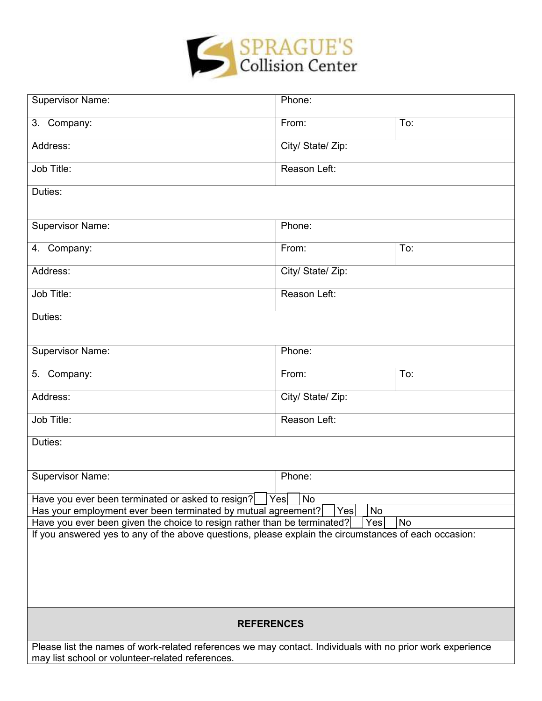

| <b>Supervisor Name:</b>                                                                                    | Phone:            |     |  |
|------------------------------------------------------------------------------------------------------------|-------------------|-----|--|
| 3. Company:                                                                                                | From:             | To: |  |
| Address:                                                                                                   | City/ State/ Zip: |     |  |
| Job Title:                                                                                                 | Reason Left:      |     |  |
| Duties:                                                                                                    |                   |     |  |
| <b>Supervisor Name:</b>                                                                                    | Phone:            |     |  |
| 4. Company:                                                                                                | From:             | To: |  |
| Address:                                                                                                   | City/ State/ Zip: |     |  |
| Job Title:                                                                                                 | Reason Left:      |     |  |
| Duties:                                                                                                    |                   |     |  |
| <b>Supervisor Name:</b>                                                                                    | Phone:            |     |  |
| 5. Company:                                                                                                | From:             | To: |  |
| Address:                                                                                                   | City/ State/ Zip: |     |  |
| Job Title:                                                                                                 | Reason Left:      |     |  |
| Duties:                                                                                                    |                   |     |  |
|                                                                                                            |                   |     |  |
| <b>Supervisor Name:</b>                                                                                    | Phone:            |     |  |
| No<br>Have you ever been terminated or asked to resign?<br>Yes                                             |                   |     |  |
| Has your employment ever been terminated by mutual agreement?<br><b>No</b><br>Yes                          |                   |     |  |
| Have you ever been given the choice to resign rather than be terminated?<br>Yes<br><b>No</b>               |                   |     |  |
| If you answered yes to any of the above questions, please explain the circumstances of each occasion:      |                   |     |  |
|                                                                                                            |                   |     |  |
|                                                                                                            |                   |     |  |
|                                                                                                            |                   |     |  |
|                                                                                                            |                   |     |  |
|                                                                                                            |                   |     |  |
| <b>REFERENCES</b>                                                                                          |                   |     |  |
| Please list the names of work-related references we may contact. Individuals with no prior work experience |                   |     |  |
| may list school or volunteer-related references.                                                           |                   |     |  |